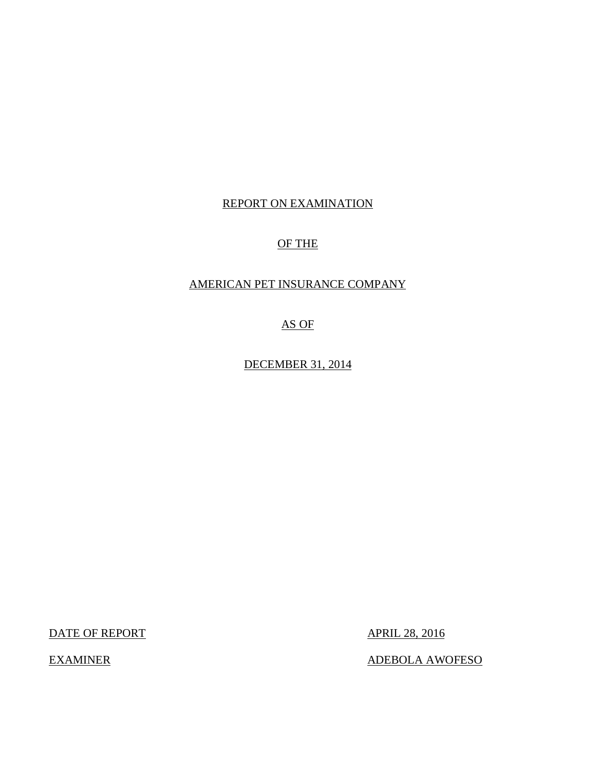# REPORT ON EXAMINATION

# OF THE

# AMERICAN PET INSURANCE COMPANY

AS OF

DECEMBER 31, 2014

DATE OF REPORT APRIL 28, 2016

EXAMINER ADEBOLA AWOFESO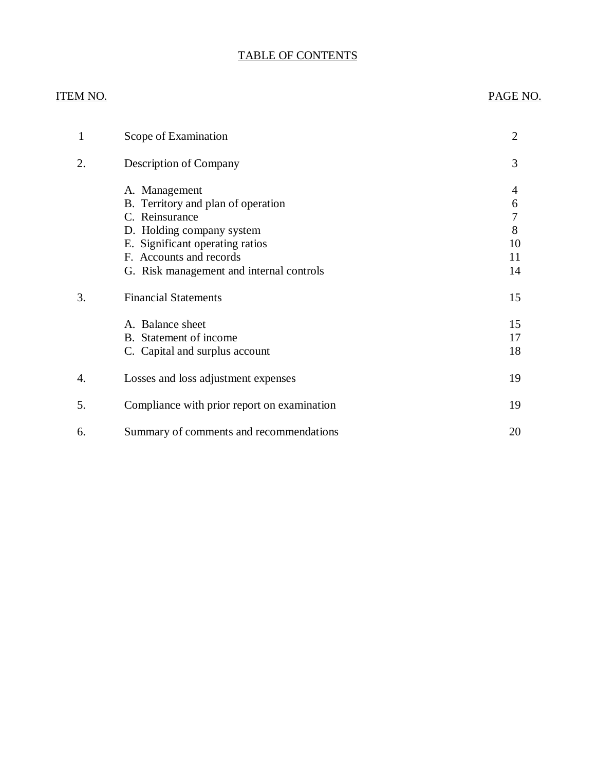# TABLE OF CONTENTS

# ITEM NO. PAGE NO.

| 1  | Scope of Examination                                                                                                                                                                                         | $\overline{2}$                |
|----|--------------------------------------------------------------------------------------------------------------------------------------------------------------------------------------------------------------|-------------------------------|
| 2. | Description of Company                                                                                                                                                                                       | 3                             |
|    | A. Management<br>B. Territory and plan of operation<br>C. Reinsurance<br>D. Holding company system<br>E. Significant operating ratios<br>F. Accounts and records<br>G. Risk management and internal controls | 4<br>6<br>8<br>10<br>11<br>14 |
| 3. | <b>Financial Statements</b>                                                                                                                                                                                  | 15                            |
|    | A. Balance sheet<br>B. Statement of income<br>C. Capital and surplus account                                                                                                                                 | 15<br>17<br>18                |
| 4. | Losses and loss adjustment expenses                                                                                                                                                                          | 19                            |
| 5. | Compliance with prior report on examination                                                                                                                                                                  | 19                            |
| 6. | Summary of comments and recommendations                                                                                                                                                                      | 20                            |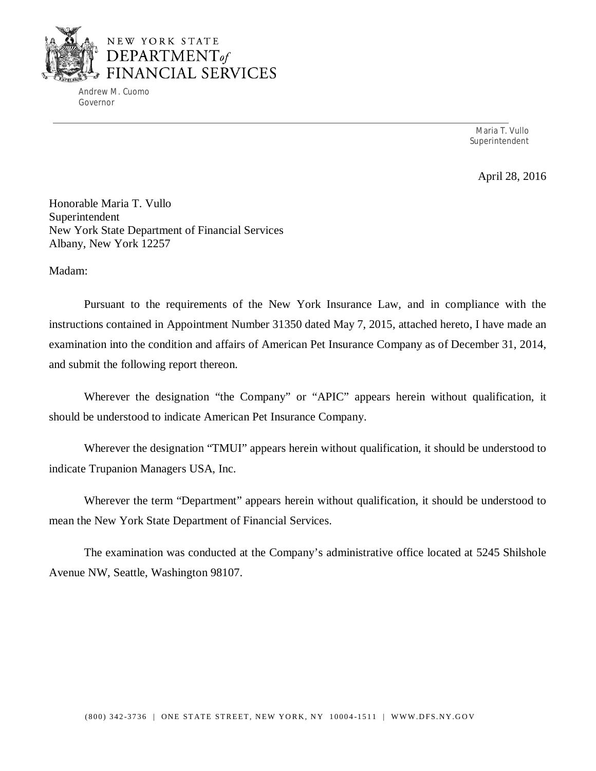

Andrew M. Cuomo Governor

> Maria T. Vullo Superintendent

> > April 28, 2016

Honorable Maria T. Vullo Superintendent New York State Department of Financial Services Albany, New York 12257

Madam:

Pursuant to the requirements of the New York Insurance Law, and in compliance with the instructions contained in Appointment Number 31350 dated May 7, 2015, attached hereto, I have made an examination into the condition and affairs of American Pet Insurance Company as of December 31, 2014, and submit the following report thereon.

Wherever the designation "the Company" or "APIC" appears herein without qualification, it should be understood to indicate American Pet Insurance Company.

Wherever the designation "TMUI" appears herein without qualification, it should be understood to indicate Trupanion Managers USA, Inc.

Wherever the term "Department" appears herein without qualification, it should be understood to mean the New York State Department of Financial Services.

The examination was conducted at the Company's administrative office located at 5245 Shilshole Avenue NW, Seattle, Washington 98107.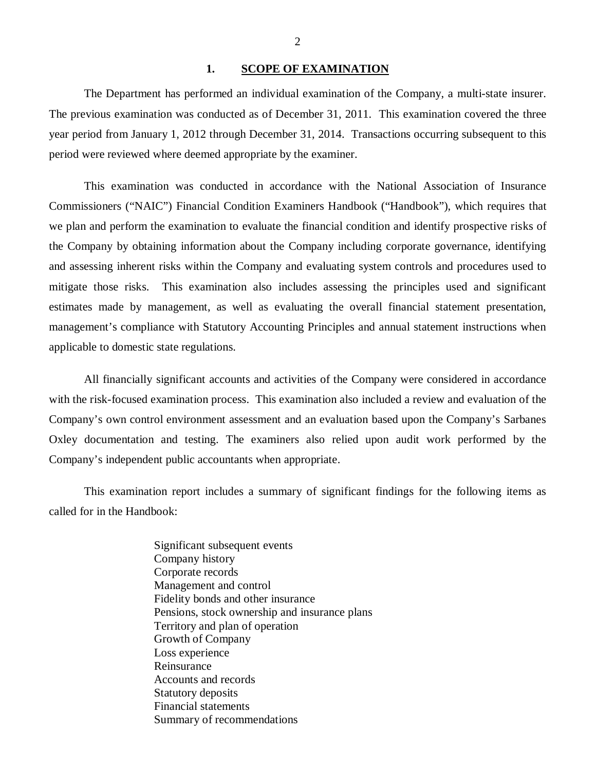### 1. SCOPE OF EXAMINATION

<span id="page-3-0"></span>The Department has performed an individual examination of the Company, a multi-state insurer. The previous examination was conducted as of December 31, 2011. This examination covered the three year period from January 1, 2012 through December 31, 2014. Transactions occurring subsequent to this period were reviewed where deemed appropriate by the examiner.

This examination was conducted in accordance with the National Association of Insurance Commissioners ("NAIC") Financial Condition Examiners Handbook ("Handbook"), which requires that we plan and perform the examination to evaluate the financial condition and identify prospective risks of the Company by obtaining information about the Company including corporate governance, identifying and assessing inherent risks within the Company and evaluating system controls and procedures used to mitigate those risks. This examination also includes assessing the principles used and significant estimates made by management, as well as evaluating the overall financial statement presentation, management's compliance with Statutory Accounting Principles and annual statement instructions when applicable to domestic state regulations.

All financially significant accounts and activities of the Company were considered in accordance with the risk-focused examination process. This examination also included a review and evaluation of the Company's own control environment assessment and an evaluation based upon the Company's Sarbanes Oxley documentation and testing. The examiners also relied upon audit work performed by the Company's independent public accountants when appropriate.

This examination report includes a summary of significant findings for the following items as called for in the Handbook:

> Significant subsequent events Company history Corporate records Management and control Fidelity bonds and other insurance Pensions, stock ownership and insurance plans Territory and plan of operation Growth of Company Loss experience Reinsurance Accounts and records Statutory deposits Financial statements Summary of recommendations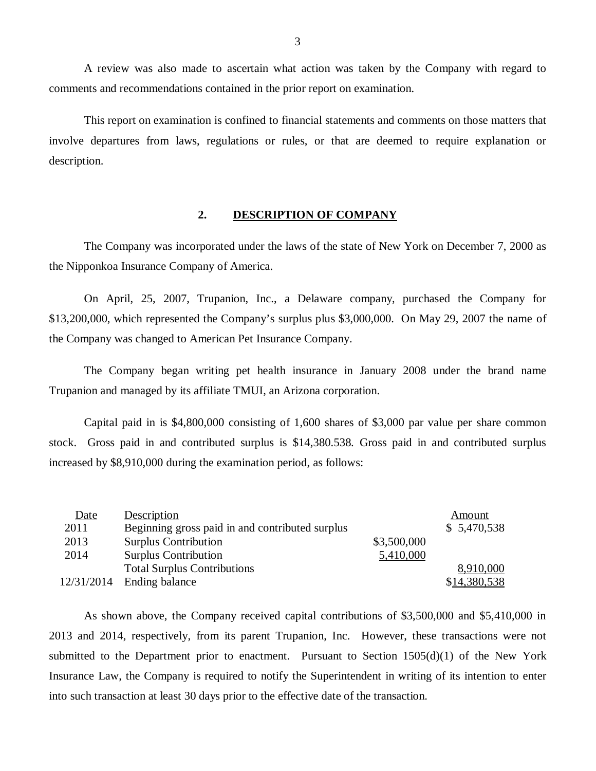A review was also made to ascertain what action was taken by the Company with regard to comments and recommendations contained in the prior report on examination.

This report on examination is confined to financial statements and comments on those matters that involve departures from laws, regulations or rules, or that are deemed to require explanation or description.

### **2. DESCRIPTION OF COMPANY**

The Company was incorporated under the laws of the state of New York on December 7, 2000 as the Nipponkoa Insurance Company of America.

On April, 25, 2007, Trupanion, Inc., a Delaware company, purchased the Company for \$13,200,000, which represented the Company's surplus plus \$3,000,000. On May 29, 2007 the name of the Company was changed to American Pet Insurance Company.

The Company began writing pet health insurance in January 2008 under the brand name Trupanion and managed by its affiliate TMUI, an Arizona corporation.

Capital paid in is \$4,800,000 consisting of 1,600 shares of \$3,000 par value per share common stock. Gross paid in and contributed surplus is \$14,380.538. Gross paid in and contributed surplus increased by \$8,910,000 during the examination period, as follows:

| Date       | Description                                     |             | Amount       |
|------------|-------------------------------------------------|-------------|--------------|
| 2011       | Beginning gross paid in and contributed surplus |             | \$5,470,538  |
| 2013       | <b>Surplus Contribution</b>                     | \$3,500,000 |              |
| 2014       | <b>Surplus Contribution</b>                     | 5,410,000   |              |
|            | <b>Total Surplus Contributions</b>              |             | 8,910,000    |
| 12/31/2014 | Ending balance                                  |             | \$14,380,538 |

As shown above, the Company received capital contributions of \$3,500,000 and \$5,410,000 in 2013 and 2014, respectively, from its parent Trupanion, Inc. However, these transactions were not submitted to the Department prior to enactment. Pursuant to Section  $1505(d)(1)$  of the New York Insurance Law, the Company is required to notify the Superintendent in writing of its intention to enter into such transaction at least 30 days prior to the effective date of the transaction.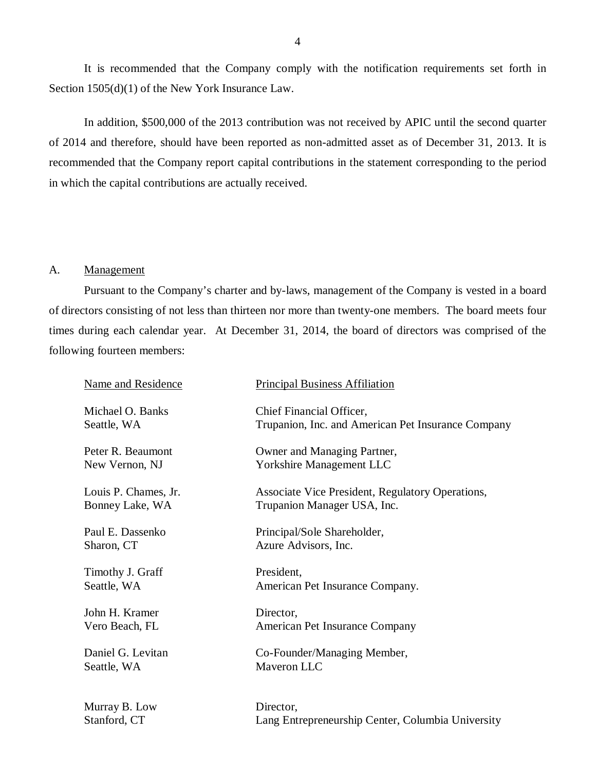<span id="page-5-0"></span>It is recommended that the Company comply with the notification requirements set forth in Section 1505(d)(1) of the New York Insurance Law.

In addition, \$500,000 of the 2013 contribution was not received by APIC until the second quarter of 2014 and therefore, should have been reported as non-admitted asset as of December 31, 2013. It is recommended that the Company report capital contributions in the statement corresponding to the period in which the capital contributions are actually received.

### A. Management

Pursuant to the Company's charter and by-laws, management of the Company is vested in a board of directors consisting of not less than thirteen nor more than twenty-one members. The board meets four times during each calendar year. At December 31, 2014, the board of directors was comprised of the following fourteen members:

| <b>Name and Residence</b> | <b>Principal Business Affiliation</b>              |
|---------------------------|----------------------------------------------------|
| Michael O. Banks          | Chief Financial Officer,                           |
| Seattle, WA               | Trupanion, Inc. and American Pet Insurance Company |
| Peter R. Beaumont         | Owner and Managing Partner,                        |
| New Vernon, NJ            | <b>Yorkshire Management LLC</b>                    |
| Louis P. Chames, Jr.      | Associate Vice President, Regulatory Operations,   |
| Bonney Lake, WA           | Trupanion Manager USA, Inc.                        |
| Paul E. Dassenko          | Principal/Sole Shareholder,                        |
| Sharon, CT                | Azure Advisors, Inc.                               |
| Timothy J. Graff          | President,                                         |
| Seattle, WA               | American Pet Insurance Company.                    |
| John H. Kramer            | Director,                                          |
| Vero Beach, FL            | American Pet Insurance Company                     |
| Daniel G. Levitan         | Co-Founder/Managing Member,                        |
| Seattle, WA               | Maveron LLC                                        |
| Murray B. Low             | Director,                                          |
| Stanford, CT              | Lang Entrepreneurship Center, Columbia University  |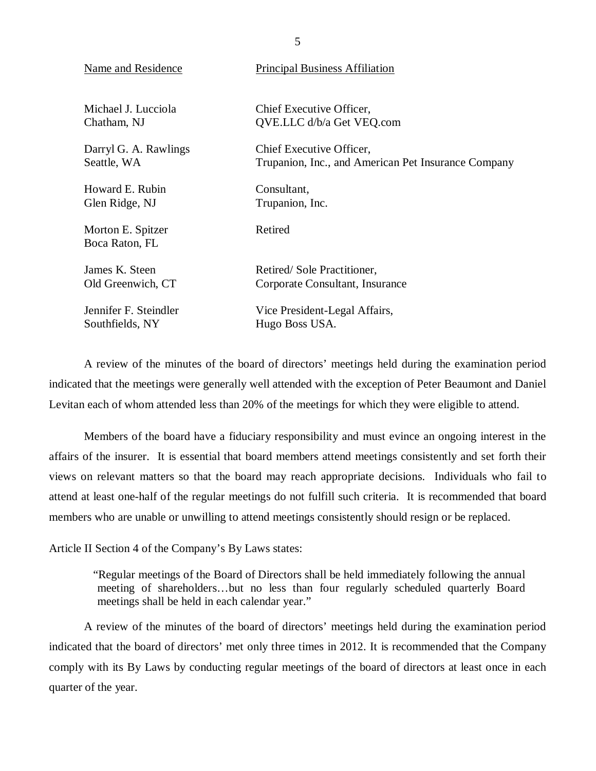| <b>Name and Residence</b>           | <b>Principal Business Affiliation</b>               |
|-------------------------------------|-----------------------------------------------------|
| Michael J. Lucciola                 | Chief Executive Officer,                            |
| Chatham, NJ                         | QVE.LLC d/b/a Get VEQ.com                           |
| Darryl G. A. Rawlings               | Chief Executive Officer,                            |
| Seattle, WA                         | Trupanion, Inc., and American Pet Insurance Company |
| Howard E. Rubin                     | Consultant,                                         |
| Glen Ridge, NJ                      | Trupanion, Inc.                                     |
| Morton E. Spitzer<br>Boca Raton, FL | Retired                                             |
| James K. Steen                      | Retired/Sole Practitioner,                          |
| Old Greenwich, CT                   | Corporate Consultant, Insurance                     |
| Jennifer F. Steindler               | Vice President-Legal Affairs,                       |
| Southfields, NY                     | Hugo Boss USA.                                      |

A review of the minutes of the board of directors' meetings held during the examination period indicated that the meetings were generally well attended with the exception of Peter Beaumont and Daniel Levitan each of whom attended less than 20% of the meetings for which they were eligible to attend.

Members of the board have a fiduciary responsibility and must evince an ongoing interest in the affairs of the insurer. It is essential that board members attend meetings consistently and set forth their views on relevant matters so that the board may reach appropriate decisions. Individuals who fail to attend at least one-half of the regular meetings do not fulfill such criteria. It is recommended that board members who are unable or unwilling to attend meetings consistently should resign or be replaced.

Article II Section 4 of the Company's By Laws states:

"Regular meetings of the Board of Directors shall be held immediately following the annual meeting of shareholders…but no less than four regularly scheduled quarterly Board meetings shall be held in each calendar year."

A review of the minutes of the board of directors' meetings held during the examination period indicated that the board of directors' met only three times in 2012. It is recommended that the Company comply with its By Laws by conducting regular meetings of the board of directors at least once in each quarter of the year.

5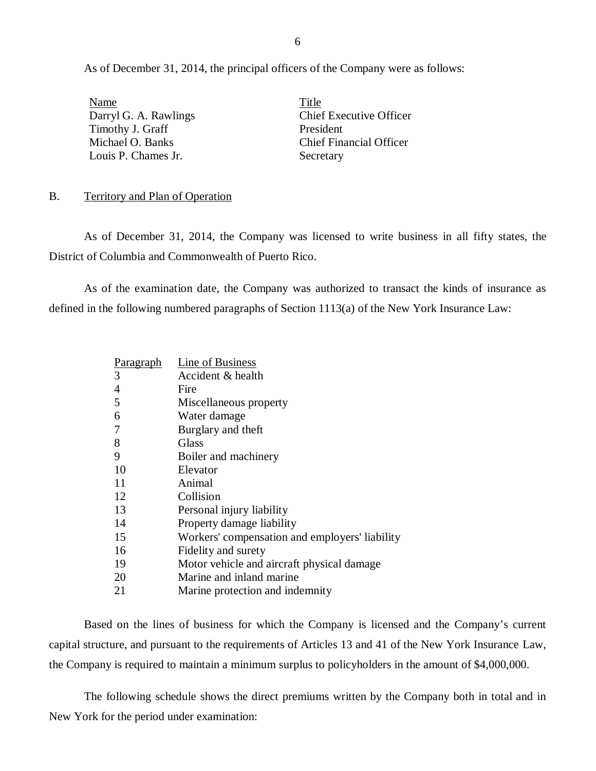<span id="page-7-0"></span>As of December 31, 2014, the principal officers of the Company were as follows:

Name<br>
Darryl G. A. Rawlings Title Chief Executive Officer Darryl G. A. Rawlings Timothy J. Graff President Louis P. Chames Jr. Secretary

Michael O. Banks Chief Financial Officer

### B. Territory and Plan of Operation

As of December 31, 2014, the Company was licensed to write business in all fifty states, the District of Columbia and Commonwealth of Puerto Rico.

As of the examination date, the Company was authorized to transact the kinds of insurance as defined in the following numbered paragraphs of Section 1113(a) of the New York Insurance Law:

| <u>Paragraph</u> | Line of Business                               |
|------------------|------------------------------------------------|
| 3                | Accident & health                              |
| $\overline{4}$   | Fire                                           |
| 5                | Miscellaneous property                         |
| 6                | Water damage                                   |
| 7                | Burglary and theft                             |
| 8                | Glass                                          |
| 9                | Boiler and machinery                           |
| 10               | Elevator                                       |
| 11               | Animal                                         |
| 12               | Collision                                      |
| 13               | Personal injury liability                      |
| 14               | Property damage liability                      |
| 15               | Workers' compensation and employers' liability |
| 16               | Fidelity and surety                            |
| 19               | Motor vehicle and aircraft physical damage     |
| 20               | Marine and inland marine                       |
| 21               | Marine protection and indemnity                |

Based on the lines of business for which the Company is licensed and the Company's current capital structure, and pursuant to the requirements of Articles 13 and 41 of the New York Insurance Law, the Company is required to maintain a minimum surplus to policyholders in the amount of \$4,000,000.

The following schedule shows the direct premiums written by the Company both in total and in New York for the period under examination: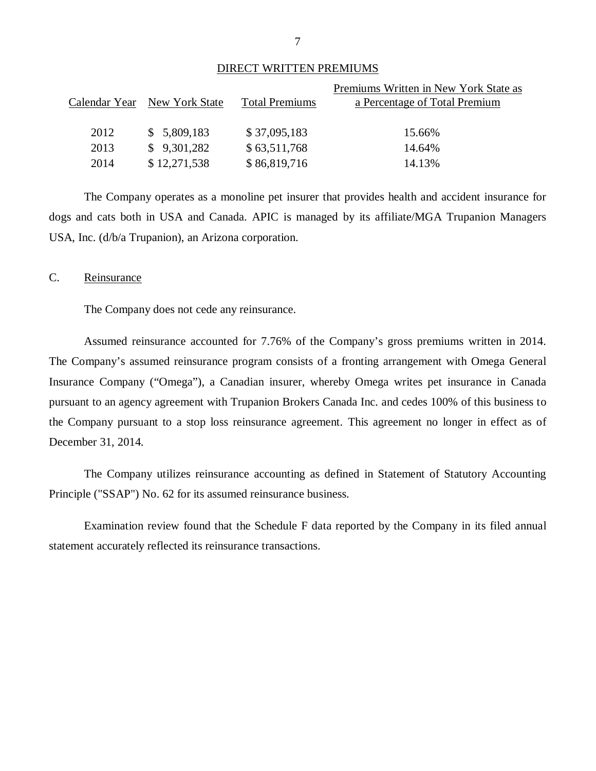|--|

|                                                                            | Premiums Written in New York State as |
|----------------------------------------------------------------------------|---------------------------------------|
|                                                                            | a Percentage of Total Premium         |
|                                                                            |                                       |
| \$37,095,183                                                               | 15.66%                                |
| \$63,511,768                                                               | 14.64%                                |
| \$86,819,716                                                               | 14.13%                                |
| Calendar Year New York State<br>\$5,809,183<br>\$9,301,282<br>\$12,271,538 | <b>Total Premiums</b>                 |

The Company operates as a monoline pet insurer that provides health and accident insurance for dogs and cats both in USA and Canada. APIC is managed by its affiliate/MGA Trupanion Managers USA, Inc. (d/b/a Trupanion), an Arizona corporation.

### C. Reinsurance

The Company does not cede any reinsurance.

Assumed reinsurance accounted for 7.76% of the Company's gross premiums written in 2014. The Company's assumed reinsurance program consists of a fronting arrangement with Omega General Insurance Company ("Omega"), a Canadian insurer, whereby Omega writes pet insurance in Canada pursuant to an agency agreement with Trupanion Brokers Canada Inc. and cedes 100% of this business to the Company pursuant to a stop loss reinsurance agreement. This agreement no longer in effect as of December 31, 2014.

The Company utilizes reinsurance accounting as defined in Statement of Statutory Accounting Principle ("SSAP") No. 62 for its assumed reinsurance business.

Examination review found that the Schedule F data reported by the Company in its filed annual statement accurately reflected its reinsurance transactions.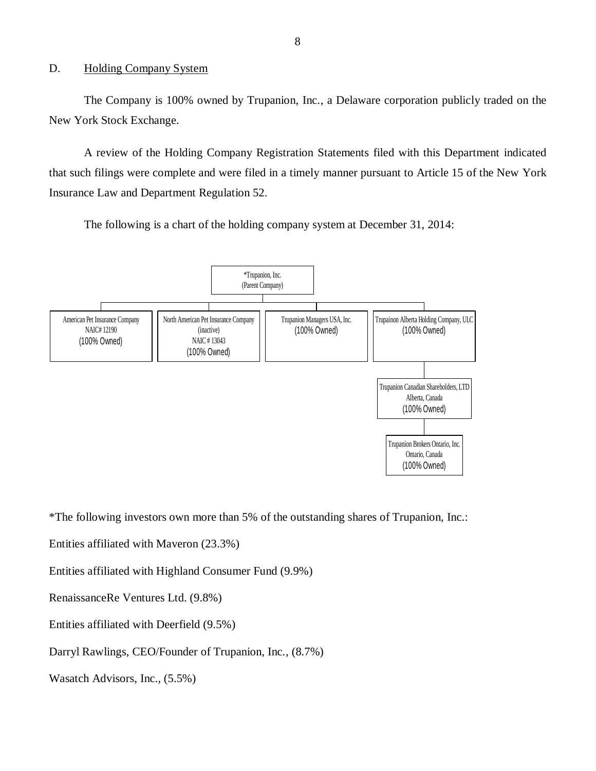### <span id="page-9-0"></span>D. Holding Company System

The Company is 100% owned by Trupanion, Inc., a Delaware corporation publicly traded on the New York Stock Exchange.

A review of the Holding Company Registration Statements filed with this Department indicated that such filings were complete and were filed in a timely manner pursuant to Article 15 of the New York Insurance Law and Department Regulation 52.

The following is a chart of the holding company system at December 31, 2014:



\*The following investors own more than 5% of the outstanding shares of Trupanion, Inc.:

Entities affiliated with Maveron (23.3%)

Entities affiliated with Highland Consumer Fund (9.9%)

RenaissanceRe Ventures Ltd. (9.8%)

Entities affiliated with Deerfield (9.5%)

Darryl Rawlings, CEO/Founder of Trupanion, Inc., (8.7%)

Wasatch Advisors, Inc., (5.5%)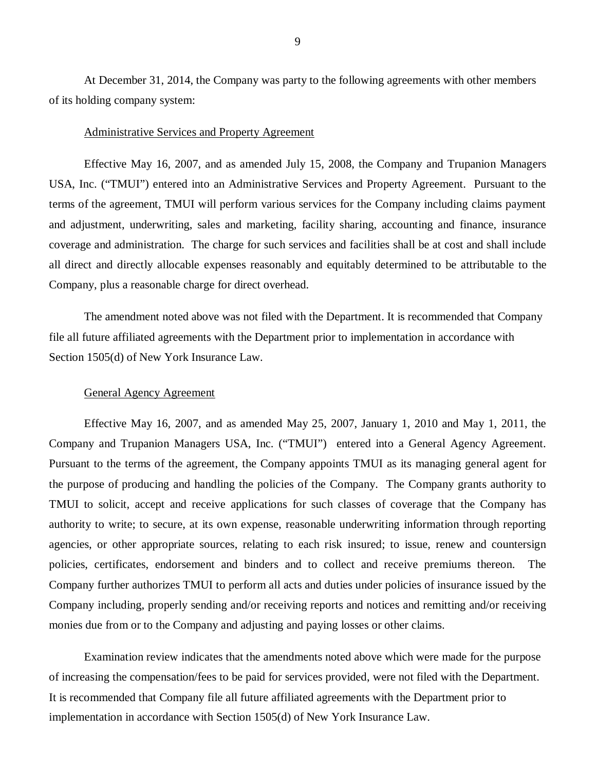At December 31, 2014, the Company was party to the following agreements with other members of its holding company system:

### Administrative Services and Property Agreement

Effective May 16, 2007, and as amended July 15, 2008, the Company and Trupanion Managers USA, Inc. ("TMUI") entered into an Administrative Services and Property Agreement. Pursuant to the terms of the agreement, TMUI will perform various services for the Company including claims payment and adjustment, underwriting, sales and marketing, facility sharing, accounting and finance, insurance coverage and administration. The charge for such services and facilities shall be at cost and shall include all direct and directly allocable expenses reasonably and equitably determined to be attributable to the Company, plus a reasonable charge for direct overhead.

The amendment noted above was not filed with the Department. It is recommended that Company file all future affiliated agreements with the Department prior to implementation in accordance with Section 1505(d) of New York Insurance Law.

### General Agency Agreement

Effective May 16, 2007, and as amended May 25, 2007, January 1, 2010 and May 1, 2011, the Company and Trupanion Managers USA, Inc. ("TMUI") entered into a General Agency Agreement. Pursuant to the terms of the agreement, the Company appoints TMUI as its managing general agent for the purpose of producing and handling the policies of the Company. The Company grants authority to TMUI to solicit, accept and receive applications for such classes of coverage that the Company has authority to write; to secure, at its own expense, reasonable underwriting information through reporting agencies, or other appropriate sources, relating to each risk insured; to issue, renew and countersign policies, certificates, endorsement and binders and to collect and receive premiums thereon. The Company further authorizes TMUI to perform all acts and duties under policies of insurance issued by the Company including, properly sending and/or receiving reports and notices and remitting and/or receiving monies due from or to the Company and adjusting and paying losses or other claims.

Examination review indicates that the amendments noted above which were made for the purpose of increasing the compensation/fees to be paid for services provided, were not filed with the Department. It is recommended that Company file all future affiliated agreements with the Department prior to implementation in accordance with Section 1505(d) of New York Insurance Law.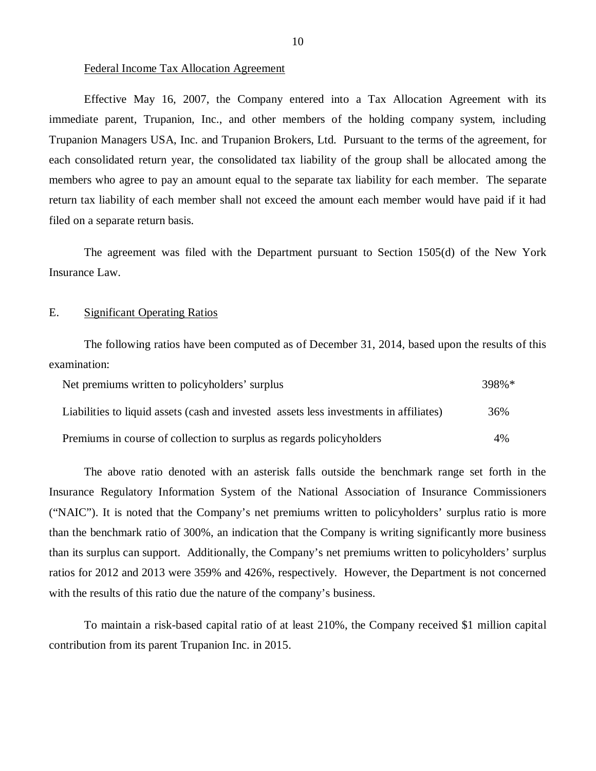### Federal Income Tax Allocation Agreement

Effective May 16, 2007, the Company entered into a Tax Allocation Agreement with its immediate parent, Trupanion, Inc., and other members of the holding company system, including Trupanion Managers USA, Inc. and Trupanion Brokers, Ltd. Pursuant to the terms of the agreement, for each consolidated return year, the consolidated tax liability of the group shall be allocated among the members who agree to pay an amount equal to the separate tax liability for each member. The separate return tax liability of each member shall not exceed the amount each member would have paid if it had filed on a separate return basis.

The agreement was filed with the Department pursuant to Section 1505(d) of the New York Insurance Law.

### E. Significant Operating Ratios

The following ratios have been computed as of December 31, 2014, based upon the results of this examination:

| Net premiums written to policyholders' surplus                                         | 398%* |
|----------------------------------------------------------------------------------------|-------|
| Liabilities to liquid assets (cash and invested assets less investments in affiliates) | 36%   |
| Premiums in course of collection to surplus as regards policyholders                   | 4%    |

The above ratio denoted with an asterisk falls outside the benchmark range set forth in the Insurance Regulatory Information System of the National Association of Insurance Commissioners ("NAIC"). It is noted that the Company's net premiums written to policyholders' surplus ratio is more than the benchmark ratio of 300%, an indication that the Company is writing significantly more business than its surplus can support. Additionally, the Company's net premiums written to policyholders' surplus ratios for 2012 and 2013 were 359% and 426%, respectively. However, the Department is not concerned with the results of this ratio due the nature of the company's business.

To maintain a risk-based capital ratio of at least 210%, the Company received \$1 million capital contribution from its parent Trupanion Inc. in 2015.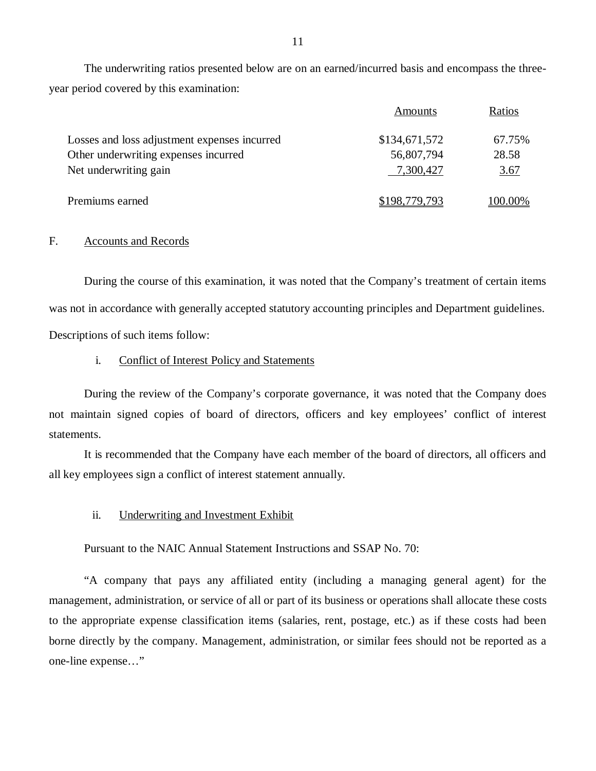<span id="page-12-0"></span>The underwriting ratios presented below are on an earned/incurred basis and encompass the threeyear period covered by this examination:

|                                              | Amounts       | Ratios      |
|----------------------------------------------|---------------|-------------|
| Losses and loss adjustment expenses incurred | \$134,671,572 | 67.75%      |
| Other underwriting expenses incurred         | 56,807,794    | 28.58       |
| Net underwriting gain                        | 7,300,427     | <u>3.67</u> |
| Premiums earned                              | \$198,779,793 | 100.00%     |

### F. Accounts and Records

During the course of this examination, it was noted that the Company's treatment of certain items was not in accordance with generally accepted statutory accounting principles and Department guidelines. Descriptions of such items follow:

### i. Conflict of Interest Policy and Statements

During the review of the Company's corporate governance, it was noted that the Company does not maintain signed copies of board of directors, officers and key employees' conflict of interest statements.

It is recommended that the Company have each member of the board of directors, all officers and all key employees sign a conflict of interest statement annually.

ii. Underwriting and Investment Exhibit

Pursuant to the NAIC Annual Statement Instructions and SSAP No. 70:

"A company that pays any affiliated entity (including a managing general agent) for the management, administration, or service of all or part of its business or operations shall allocate these costs to the appropriate expense classification items (salaries, rent, postage, etc.) as if these costs had been borne directly by the company. Management, administration, or similar fees should not be reported as a one-line expense…"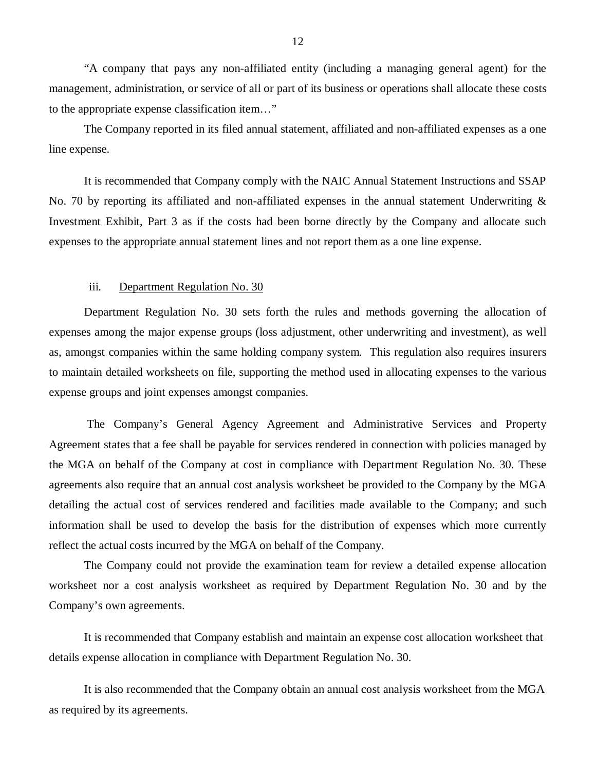"A company that pays any non-affiliated entity (including a managing general agent) for the management, administration, or service of all or part of its business or operations shall allocate these costs to the appropriate expense classification item…"

The Company reported in its filed annual statement, affiliated and non-affiliated expenses as a one line expense.

It is recommended that Company comply with the NAIC Annual Statement Instructions and SSAP No. 70 by reporting its affiliated and non-affiliated expenses in the annual statement Underwriting  $\&$ Investment Exhibit, Part 3 as if the costs had been borne directly by the Company and allocate such expenses to the appropriate annual statement lines and not report them as a one line expense.

### iii. Department Regulation No. 30

Department Regulation No. 30 sets forth the rules and methods governing the allocation of expenses among the major expense groups (loss adjustment, other underwriting and investment), as well as, amongst companies within the same holding company system. This regulation also requires insurers to maintain detailed worksheets on file, supporting the method used in allocating expenses to the various expense groups and joint expenses amongst companies.

The Company's General Agency Agreement and Administrative Services and Property Agreement states that a fee shall be payable for services rendered in connection with policies managed by the MGA on behalf of the Company at cost in compliance with Department Regulation No. 30. These agreements also require that an annual cost analysis worksheet be provided to the Company by the MGA detailing the actual cost of services rendered and facilities made available to the Company; and such information shall be used to develop the basis for the distribution of expenses which more currently reflect the actual costs incurred by the MGA on behalf of the Company.

The Company could not provide the examination team for review a detailed expense allocation worksheet nor a cost analysis worksheet as required by Department Regulation No. 30 and by the Company's own agreements.

It is recommended that Company establish and maintain an expense cost allocation worksheet that details expense allocation in compliance with Department Regulation No. 30.

It is also recommended that the Company obtain an annual cost analysis worksheet from the MGA as required by its agreements.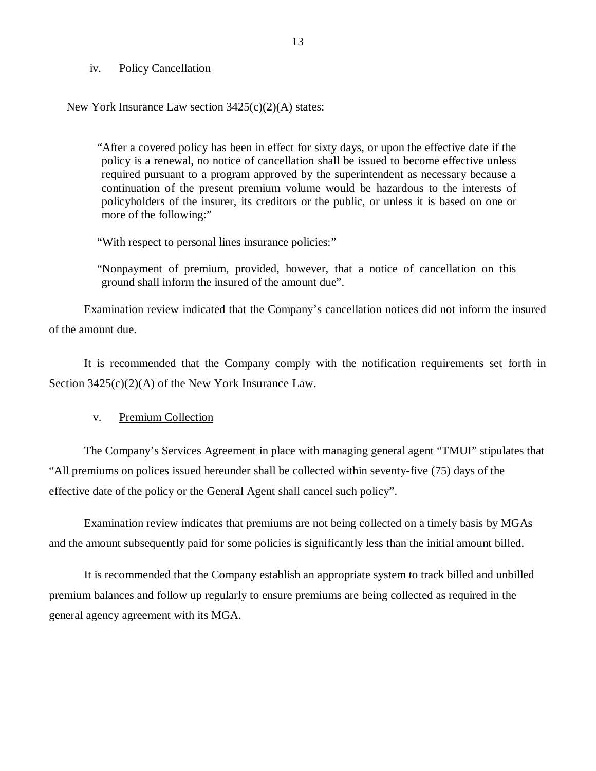### iv. Policy Cancellation

New York Insurance Law section 3425(c)(2)(A) states:

"After a covered policy has been in effect for sixty days, or upon the effective date if the policy is a renewal, no notice of cancellation shall be issued to become effective unless required pursuant to a program approved by the superintendent as necessary because a continuation of the present premium volume would be hazardous to the interests of policyholders of the insurer, its creditors or the public, or unless it is based on one or more of the following:"

"With respect to personal lines insurance policies:"

"Nonpayment of premium, provided, however, that a notice of cancellation on this ground shall inform the insured of the amount due".

Examination review indicated that the Company's cancellation notices did not inform the insured of the amount due.

It is recommended that the Company comply with the notification requirements set forth in Section 3425(c)(2)(A) of the New York Insurance Law.

v. Premium Collection

The Company's Services Agreement in place with managing general agent "TMUI" stipulates that "All premiums on polices issued hereunder shall be collected within seventy-five (75) days of the effective date of the policy or the General Agent shall cancel such policy".

Examination review indicates that premiums are not being collected on a timely basis by MGAs and the amount subsequently paid for some policies is significantly less than the initial amount billed.

It is recommended that the Company establish an appropriate system to track billed and unbilled premium balances and follow up regularly to ensure premiums are being collected as required in the general agency agreement with its MGA.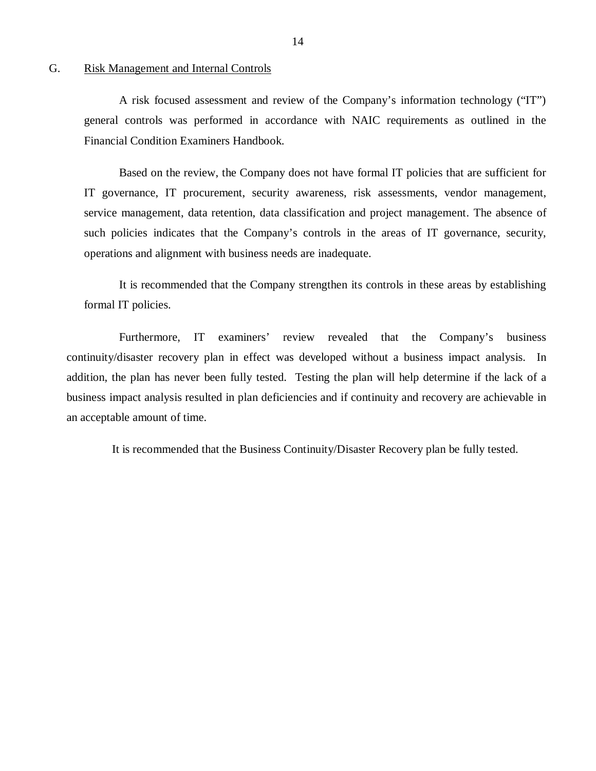### <span id="page-15-0"></span>G. Risk Management and Internal Controls

A risk focused assessment and review of the Company's information technology ("IT") general controls was performed in accordance with NAIC requirements as outlined in the Financial Condition Examiners Handbook.

Based on the review, the Company does not have formal IT policies that are sufficient for IT governance, IT procurement, security awareness, risk assessments, vendor management, service management, data retention, data classification and project management. The absence of such policies indicates that the Company's controls in the areas of IT governance, security, operations and alignment with business needs are inadequate.

It is recommended that the Company strengthen its controls in these areas by establishing formal IT policies.

Furthermore, IT examiners' review revealed that the Company's business continuity/disaster recovery plan in effect was developed without a business impact analysis. In addition, the plan has never been fully tested. Testing the plan will help determine if the lack of a business impact analysis resulted in plan deficiencies and if continuity and recovery are achievable in an acceptable amount of time.

It is recommended that the Business Continuity/Disaster Recovery plan be fully tested.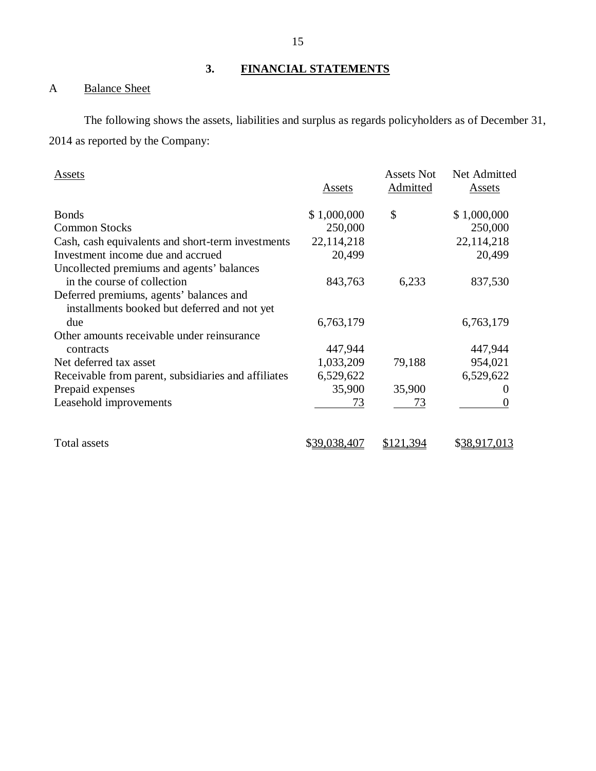# **3. FINANCIAL STATEMENTS**

# <span id="page-16-0"></span>A Balance Sheet

The following shows the assets, liabilities and surplus as regards policyholders as of December 31, 2014 as reported by the Company:

| Assets                                                                                  | Assets       | <b>Assets Not</b><br>Admitted | Net Admitted<br>Assets |
|-----------------------------------------------------------------------------------------|--------------|-------------------------------|------------------------|
| <b>Bonds</b>                                                                            | \$1,000,000  | \$                            | \$1,000,000            |
| <b>Common Stocks</b>                                                                    | 250,000      |                               | 250,000                |
| Cash, cash equivalents and short-term investments                                       | 22,114,218   |                               | 22,114,218             |
| Investment income due and accrued                                                       | 20,499       |                               | 20,499                 |
| Uncollected premiums and agents' balances                                               |              |                               |                        |
| in the course of collection                                                             | 843,763      | 6,233                         | 837,530                |
| Deferred premiums, agents' balances and<br>installments booked but deferred and not yet |              |                               |                        |
| due                                                                                     | 6,763,179    |                               | 6,763,179              |
| Other amounts receivable under reinsurance                                              |              |                               |                        |
| contracts                                                                               | 447,944      |                               | 447,944                |
| Net deferred tax asset                                                                  | 1,033,209    | 79,188                        | 954,021                |
| Receivable from parent, subsidiaries and affiliates                                     | 6,529,622    |                               | 6,529,622              |
| Prepaid expenses                                                                        | 35,900       | 35,900                        | $\theta$               |
| Leasehold improvements                                                                  | 73           | 73                            | $\theta$               |
| Total assets                                                                            | \$39,038,407 | \$121,394                     | \$38,917,013           |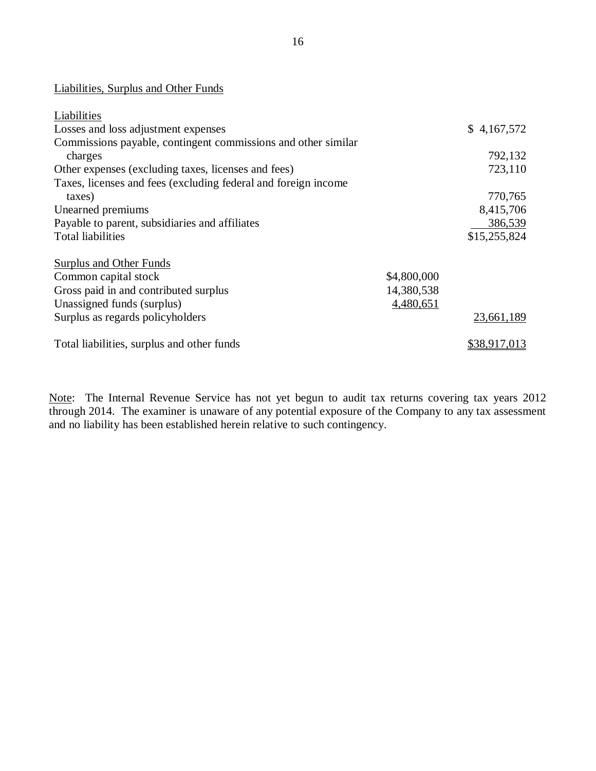## Liabilities, Surplus and Other Funds

| Liabilities                                                    |             |              |
|----------------------------------------------------------------|-------------|--------------|
| Losses and loss adjustment expenses                            |             | \$4,167,572  |
| Commissions payable, contingent commissions and other similar  |             |              |
| charges                                                        |             | 792,132      |
| Other expenses (excluding taxes, licenses and fees)            |             | 723,110      |
| Taxes, licenses and fees (excluding federal and foreign income |             |              |
| taxes)                                                         |             | 770,765      |
| Unearned premiums                                              |             | 8,415,706    |
| Payable to parent, subsidiaries and affiliates                 |             | 386,539      |
| <b>Total liabilities</b>                                       |             | \$15,255,824 |
|                                                                |             |              |
| <b>Surplus and Other Funds</b>                                 |             |              |
| Common capital stock                                           | \$4,800,000 |              |
| Gross paid in and contributed surplus                          | 14,380,538  |              |
| Unassigned funds (surplus)                                     | 4,480,651   |              |
| Surplus as regards policyholders                               |             | 23,661,189   |
| Total liabilities, surplus and other funds                     |             | \$38,917,013 |

Note: The Internal Revenue Service has not yet begun to audit tax returns covering tax years 2012 through 2014. The examiner is unaware of any potential exposure of the Company to any tax assessment and no liability has been established herein relative to such contingency.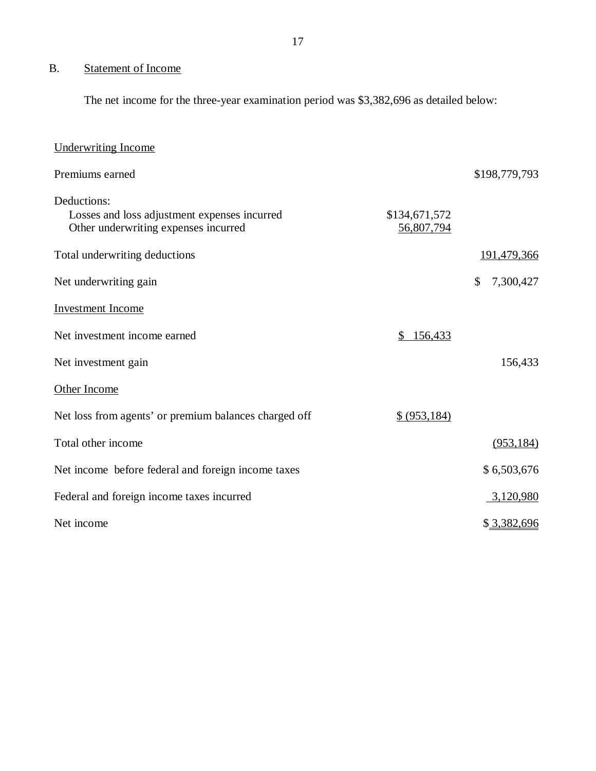# <span id="page-18-0"></span>B. Statement of Income

The net income for the three-year examination period was \$3,382,696 as detailed below:

| Underwriting Income                                                                                 |                             |                 |
|-----------------------------------------------------------------------------------------------------|-----------------------------|-----------------|
| Premiums earned                                                                                     |                             | \$198,779,793   |
| Deductions:<br>Losses and loss adjustment expenses incurred<br>Other underwriting expenses incurred | \$134,671,572<br>56,807,794 |                 |
| Total underwriting deductions                                                                       |                             | 191,479,366     |
| Net underwriting gain                                                                               |                             | 7,300,427<br>\$ |
| <b>Investment Income</b>                                                                            |                             |                 |
| Net investment income earned                                                                        | 156,433<br>\$               |                 |
| Net investment gain                                                                                 |                             | 156,433         |
| Other Income                                                                                        |                             |                 |
| Net loss from agents' or premium balances charged off                                               | \$ (953, 184)               |                 |
| Total other income                                                                                  |                             | (953, 184)      |
| Net income before federal and foreign income taxes                                                  |                             | \$6,503,676     |
| Federal and foreign income taxes incurred                                                           |                             | 3,120,980       |
| Net income                                                                                          |                             | \$3,382,696     |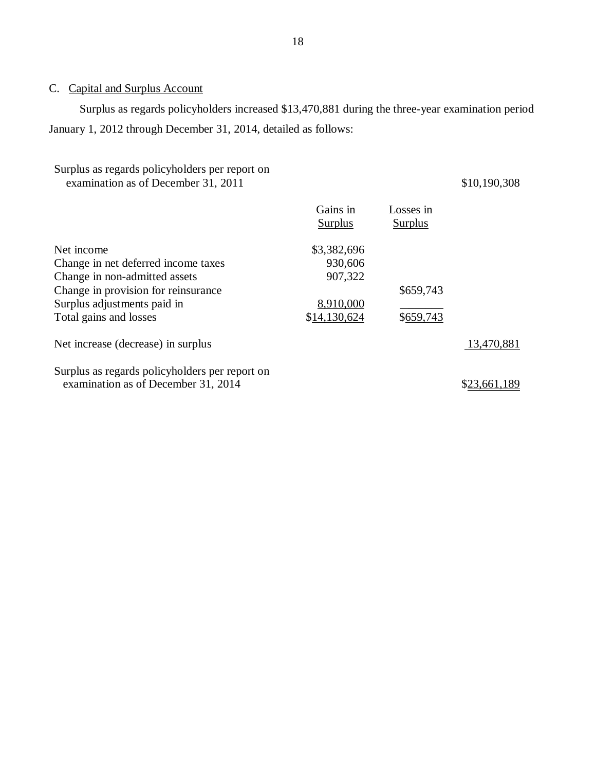# <span id="page-19-0"></span>C. Capital and Surplus Account

Surplus as regards policyholders increased \$13,470,881 during the three-year examination period January 1, 2012 through December 31, 2014, detailed as follows:

# Surplus as regards policyholders per report on examination as of December 31, 2011 \$10,190,308

|                                                                                       | Gains in<br>Surplus | Losses in<br>Surplus |            |
|---------------------------------------------------------------------------------------|---------------------|----------------------|------------|
| Net income                                                                            | \$3,382,696         |                      |            |
| Change in net deferred income taxes                                                   | 930,606             |                      |            |
| Change in non-admitted assets                                                         | 907,322             |                      |            |
| Change in provision for reinsurance                                                   |                     | \$659,743            |            |
| Surplus adjustments paid in                                                           | 8,910,000           |                      |            |
| Total gains and losses                                                                | \$14,130,624        | \$659,743            |            |
| Net increase (decrease) in surplus                                                    |                     |                      | 13,470,881 |
| Surplus as regards policyholders per report on<br>examination as of December 31, 2014 |                     |                      | \$23,661,  |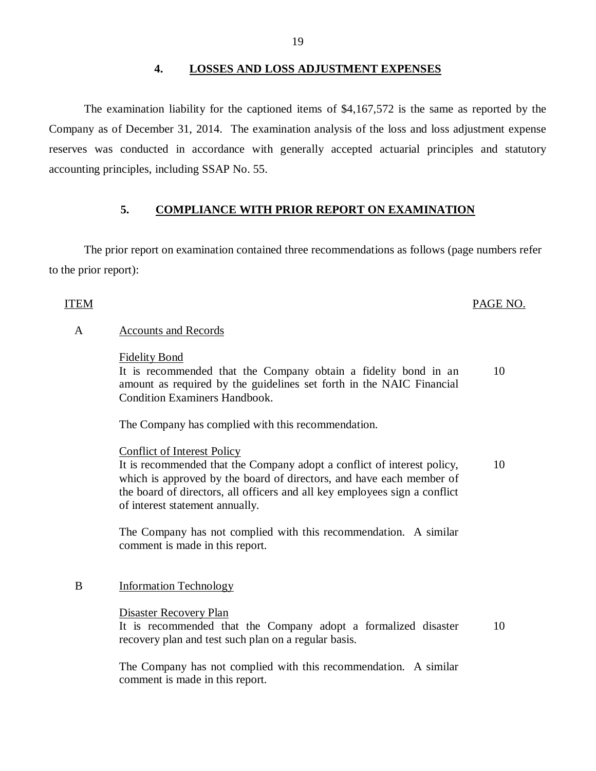### **4. LOSSES AND LOSS ADJUSTMENT EXPENSES**

The examination liability for the captioned items of \$4,167,572 is the same as reported by the Company as of December 31, 2014. The examination analysis of the loss and loss adjustment expense reserves was conducted in accordance with generally accepted actuarial principles and statutory accounting principles, including SSAP No. 55.

### **5. COMPLIANCE WITH PRIOR REPORT ON EXAMINATION**

The prior report on examination contained three recommendations as follows (page numbers refer to the prior report):

### ITEM PAGE NO.

### A Accounts and Records

### Fidelity Bond

It is recommended that the Company obtain a fidelity bond in an amount as required by the guidelines set forth in the NAIC Financial Condition Examiners Handbook. 10

The Company has complied with this recommendation.

### Conflict of Interest Policy

It is recommended that the Company adopt a conflict of interest policy, which is approved by the board of directors, and have each member of the board of directors, all officers and all key employees sign a conflict of interest statement annually. 10

The Company has not complied with this recommendation. A similar comment is made in this report.

### B Information Technology

Disaster Recovery Plan

It is recommended that the Company adopt a formalized disaster 10 recovery plan and test such plan on a regular basis.

The Company has not complied with this recommendation. A similar comment is made in this report.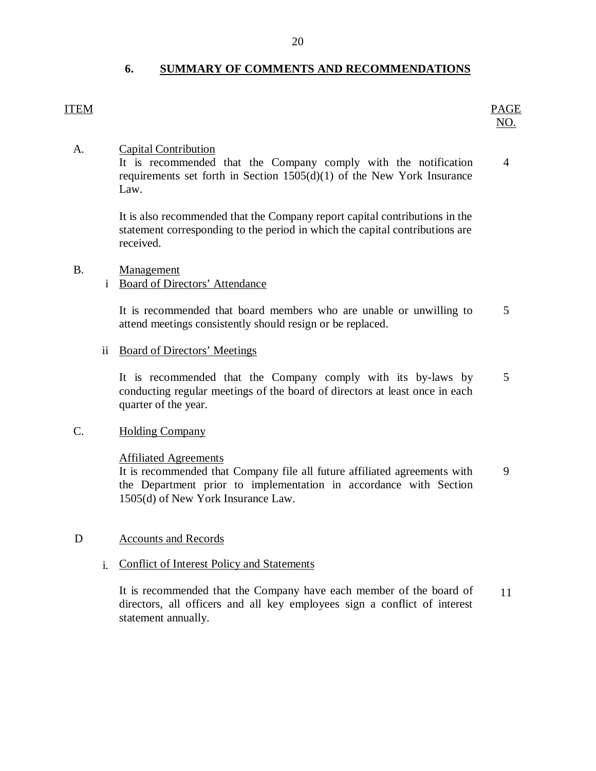## **6. SUMMARY OF COMMENTS AND RECOMMENDATIONS**

ITEM PAGE NO.

### A. Capital Contribution

It is recommended that the Company comply with the notification requirements set forth in Section 1505(d)(1) of the New York Insurance Law. 4

It is also recommended that the Company report capital contributions in the statement corresponding to the period in which the capital contributions are received.

### B. Management

### i Board of Directors' Attendance

It is recommended that board members who are unable or unwilling to attend meetings consistently should resign or be replaced. 5

### ii Board of Directors' Meetings

It is recommended that the Company comply with its by-laws by conducting regular meetings of the board of directors at least once in each quarter of the year. 5

### C. Holding Company

### Affiliated Agreements

It is recommended that Company file all future affiliated agreements with the Department prior to implementation in accordance with Section 1505(d) of New York Insurance Law. 9

### D Accounts and Records

### i. Conflict of Interest Policy and Statements

It is recommended that the Company have each member of the board of directors, all officers and all key employees sign a conflict of interest statement annually. 11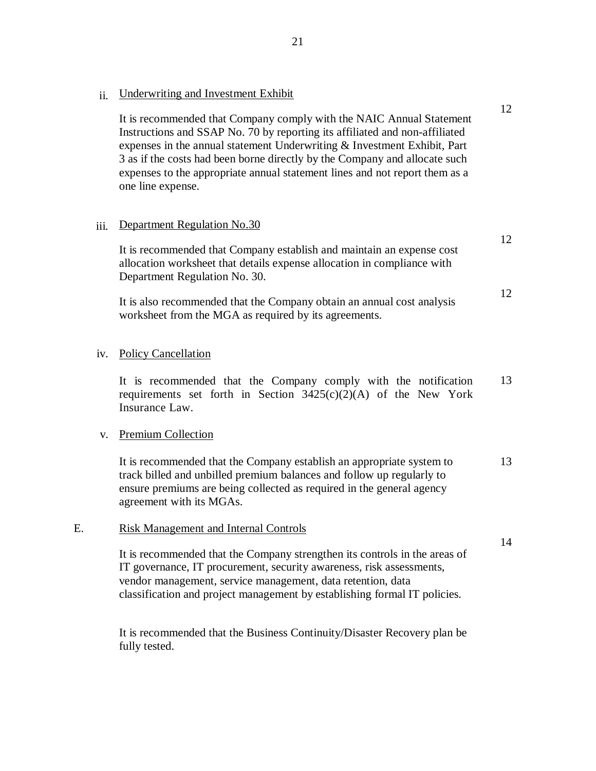ii. Underwriting and Investment Exhibit

It is recommended that Company comply with the NAIC Annual Statement Instructions and SSAP No. 70 by reporting its affiliated and non-affiliated expenses in the annual statement Underwriting & Investment Exhibit, Part 3 as if the costs had been borne directly by the Company and allocate such expenses to the appropriate annual statement lines and not report them as a one line expense.

12

12

12

14

### iii. Department Regulation No.30

It is recommended that Company establish and maintain an expense cost allocation worksheet that details expense allocation in compliance with Department Regulation No. 30.

It is also recommended that the Company obtain an annual cost analysis worksheet from the MGA as required by its agreements.

### iv. Policy Cancellation

It is recommended that the Company comply with the notification requirements set forth in Section 3425(c)(2)(A) of the New York Insurance Law. 13

### v. Premium Collection

It is recommended that the Company establish an appropriate system to track billed and unbilled premium balances and follow up regularly to ensure premiums are being collected as required in the general agency agreement with its MGAs. 13

### E. Risk Management and Internal Controls

It is recommended that the Company strengthen its controls in the areas of IT governance, IT procurement, security awareness, risk assessments, vendor management, service management, data retention, data classification and project management by establishing formal IT policies.

It is recommended that the Business Continuity/Disaster Recovery plan be fully tested.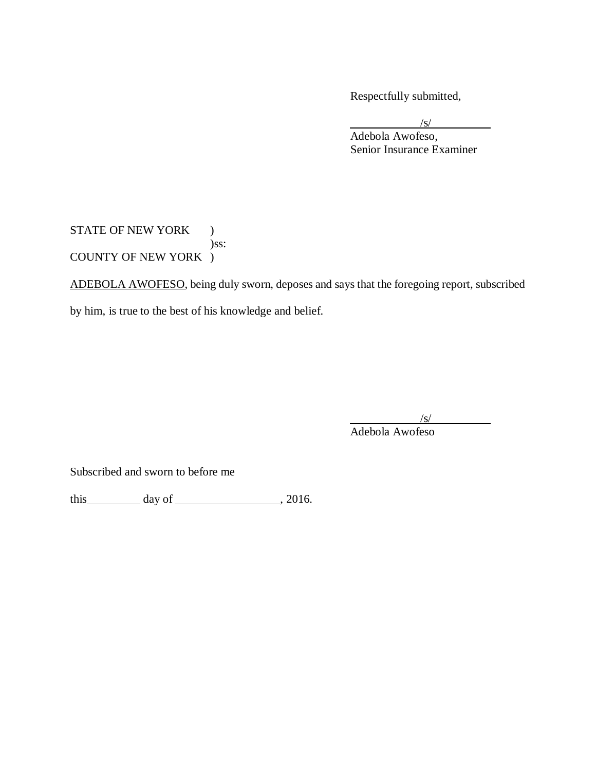Respectfully submitted,

/s/

Adebola Awofeso, Senior Insurance Examiner

STATE OF NEW YORK ) )ss: COUNTY OF NEW YORK )

ADEBOLA AWOFESO, being duly sworn, deposes and says that the foregoing report, subscribed

by him, is true to the best of his knowledge and belief.

/s/

Adebola Awofeso

Subscribed and sworn to before me

this day of , 2016.